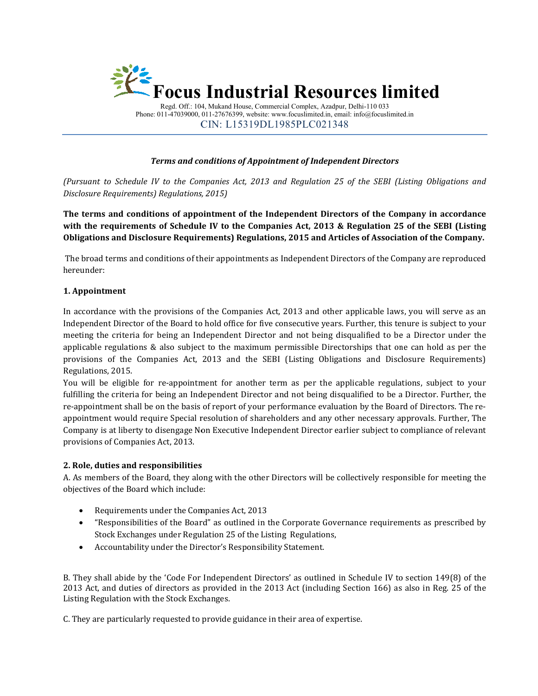

Regd. Off.: 104, Mukand House, Commercial Complex, Azadpur, Delhi-110 033 Phone: 011-47039000, 011 47039000, 011-27676399, website: www.focuslimited.in, email: info@focuslimited.in CIN: L15319DL1985PLC021348

## **Terms and conditions of Appointment of Independent Directors**

(Pursuant to Schedule IV to the Companies Act, 2013 and Regulation 25 of the SEBI (Listing Obligations and<br>Disclosure Requirements) Regulations, 2015) *Disclosure Requirements) Regulations, 2015)*

**The terms and conditions of appointment of the Independent Directors and of the Company in accordance**  with the requirements of Schedule IV to the Companies Act, 2013 & Regulation 25 of the SEBI (Listing Obligations and Disclosure Requirements) Regulations, 2015 and Articles of Association of the Company.

 The broad terms and conditions of their appointments as Independent Directors of the Company are reproduced hereunder:

### **1. Appointment**

In accordance with the provisions of the Companies Act, 2013 and other applicable laws, you will serve as an The broad terms and conditions of their appointments as Independent Directors of the Company are reproduced<br>hereunder:<br>1. Appointment<br>In accordance with the provisions of the Companies Act, 2013 and other applicable laws, meeting the criteria for being an Independent Director and not being disqualified to be a Director under the meeting the criteria for being an Independent Director and not being disqualified to be a Director under the<br>applicable regulations & also subject to the maximum permissible Directorships that one can hold as per the provisions of the Companies Act, 2013 and the SEBI (Listing Obligations and Disclosure Requirements) Regulations, 2015.

You will be eligible for re-appointment for another term as per the applicable regulations, subject to your fulfilling the criteria for being an Independent Director and not being disqualified to be a Director. Further, the re-appointment shall be on the basis of report of your performance evaluation by the Board of Directors. The appointment would require Special resolution of shareholders and any other necessary approvals. Further, Further, The Company is at liberty to disengage Non Executive Independent Director earlier subject to compliance of relevant provisions of Companies Act, 2013. You will be eligible for re-appointment for another term as per the applicable regulations, subject to your<br>fulfilling the criteria for being an Independent Director and not being disqualified to be a Director. Further, th **EXECT THE CONSULTERT CONSULTERT CONSULTERT CONSULTERT CONSULTERT CONSULTERT CONSULTERT CONSULTERT CONSULTERT CONSULTERT CONSULTERT CONSULTERT CONSULTERT CONSULTERT CONSULTERT CONSULTERT CONSULTERT CONSULTERT CONSULTERT C** The re-

## **2. Role, duties and responsibilities ties and**

A. As members of the Board, they along with the other Directors will be collectively responsible for meeting the<br>objectives of the Board which include: objectives of the Board which include:

- Requirements under the Companies Act, 2013 Requirements under 2013
- "Responsibilities of the Board" as outlined in the Corporate Governance requirements as prescribed by Stock Exchanges under Regulation 25 of the Listing Regulations Regulations,
- Accountability under the Director's Responsibility Statement.

B. They shall abide by the 'Code For Independent Directors' as outlined in Schedule IV to section 149(8) of the • "Responsibilities of the Board" as outlined in the Corporate Governance requirements as prescribed by<br>Stock Exchanges under Regulation 25 of the Listing Regulations,<br>Accountability under the Director's Responsibility Sta Listing Regulation with the Stock Exchanges.

C. They are particularly requested to provide guidance in their area of expertise.